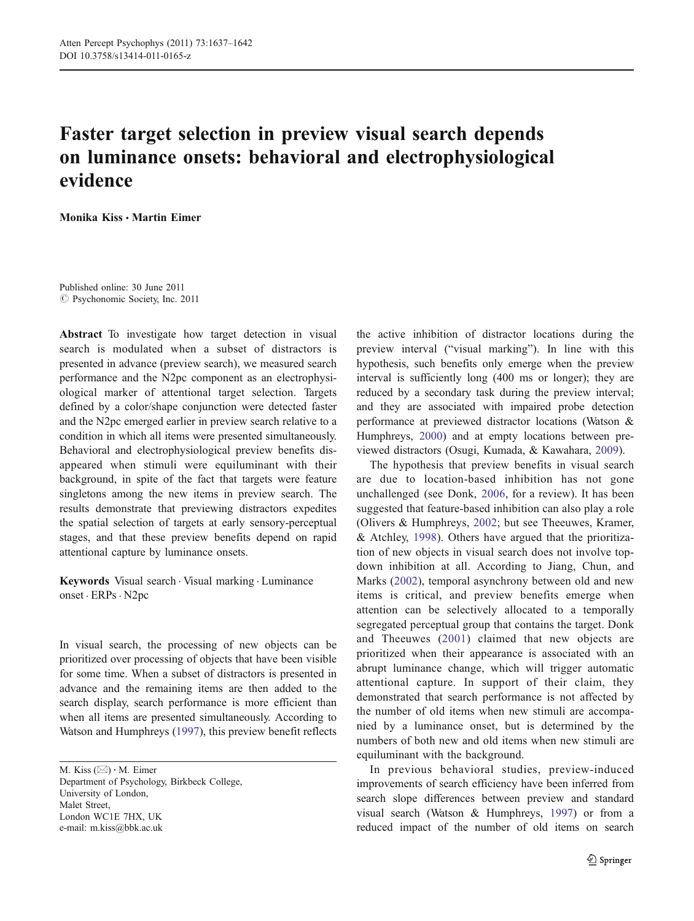# Faster target selection in preview visual search depends on luminance onsets: behavioral and electrophysiological evidence

Monika Kiss · Martin Eimer

Published online: 30 June 2011  $\odot$  Psychonomic Society, Inc. 2011

Abstract To investigate how target detection in visual search is modulated when a subset of distractors is presented in advance (preview search), we measured search performance and the N2pc component as an electrophysiological marker of attentional target selection. Targets defined by a color/shape conjunction were detected faster and the N2pc emerged earlier in preview search relative to a condition in which all items were presented simultaneously. Behavioral and electrophysiological preview benefits disappeared when stimuli were equiluminant with their background, in spite of the fact that targets were feature singletons among the new items in preview search. The results demonstrate that previewing distractors expedites the spatial selection of targets at early sensory-perceptual stages, and that these preview benefits depend on rapid attentional capture by luminance onsets.

Keywords Visual search . Visual marking . Luminance onset . ERPs. N2pc

In visual search, the processing of new objects can be prioritized over processing of objects that have been visible for some time. When a subset of distractors is presented in advance and the remaining items are then added to the search display, search performance is more efficient than when all items are presented simultaneously. According to Watson and Humphreys [\(1997](#page-5-0)), this preview benefit reflects

M. Kiss  $(\boxtimes) \cdot$  M. Eimer Department of Psychology, Birkbeck College,

University of London, Malet Street, London WC1E 7HX, UK e-mail: m.kiss@bbk.ac.uk

the active inhibition of distractor locations during the preview interval ("visual marking"). In line with this hypothesis, such benefits only emerge when the preview interval is sufficiently long (400 ms or longer); they are reduced by a secondary task during the preview interval; and they are associated with impaired probe detection performance at previewed distractor locations (Watson & Humphreys, [2000\)](#page-5-0) and at empty locations between previewed distractors (Osugi, Kumada, & Kawahara, [2009](#page-5-0)).

The hypothesis that preview benefits in visual search are due to location-based inhibition has not gone unchallenged (see Donk, [2006,](#page-5-0) for a review). It has been suggested that feature-based inhibition can also play a role (Olivers & Humphreys, [2002;](#page-5-0) but see Theeuwes, Kramer, & Atchley, [1998](#page-5-0)). Others have argued that the prioritization of new objects in visual search does not involve topdown inhibition at all. According to Jiang, Chun, and Marks [\(2002\)](#page-5-0), temporal asynchrony between old and new items is critical, and preview benefits emerge when attention can be selectively allocated to a temporally segregated perceptual group that contains the target. Donk and Theeuwes ([2001\)](#page-5-0) claimed that new objects are prioritized when their appearance is associated with an abrupt luminance change, which will trigger automatic attentional capture. In support of their claim, they demonstrated that search performance is not affected by the number of old items when new stimuli are accompanied by a luminance onset, but is determined by the numbers of both new and old items when new stimuli are equiluminant with the background.

In previous behavioral studies, preview-induced improvements of search efficiency have been inferred from search slope differences between preview and standard visual search (Watson & Humphreys, [1997](#page-5-0)) or from a reduced impact of the number of old items on search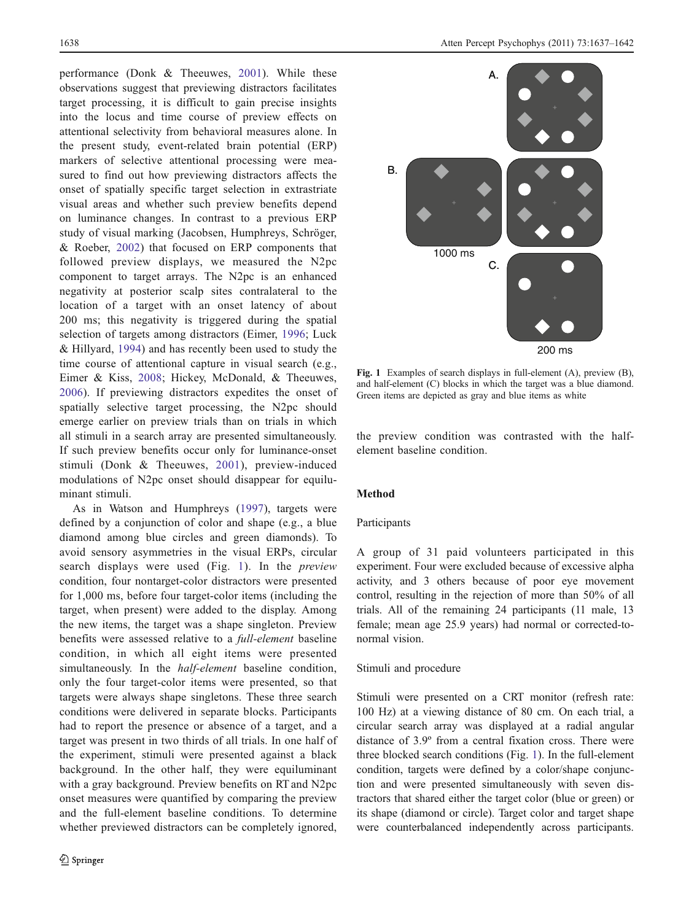performance (Donk & Theeuwes, [2001](#page-5-0)). While these observations suggest that previewing distractors facilitates target processing, it is difficult to gain precise insights into the locus and time course of preview effects on attentional selectivity from behavioral measures alone. In the present study, event-related brain potential (ERP) markers of selective attentional processing were measured to find out how previewing distractors affects the onset of spatially specific target selection in extrastriate visual areas and whether such preview benefits depend on luminance changes. In contrast to a previous ERP study of visual marking (Jacobsen, Humphreys, Schröger, & Roeber, [2002](#page-5-0)) that focused on ERP components that followed preview displays, we measured the N2pc component to target arrays. The N2pc is an enhanced negativity at posterior scalp sites contralateral to the location of a target with an onset latency of about 200 ms; this negativity is triggered during the spatial selection of targets among distractors (Eimer, [1996](#page-5-0); Luck & Hillyard, [1994](#page-5-0)) and has recently been used to study the time course of attentional capture in visual search (e.g., Eimer & Kiss, [2008](#page-5-0); Hickey, McDonald, & Theeuwes, [2006](#page-5-0)). If previewing distractors expedites the onset of spatially selective target processing, the N2pc should emerge earlier on preview trials than on trials in which all stimuli in a search array are presented simultaneously. If such preview benefits occur only for luminance-onset stimuli (Donk & Theeuwes, [2001](#page-5-0)), preview-induced modulations of N2pc onset should disappear for equiluminant stimuli.

As in Watson and Humphreys [\(1997](#page-5-0)), targets were defined by a conjunction of color and shape (e.g., a blue diamond among blue circles and green diamonds). To avoid sensory asymmetries in the visual ERPs, circular search displays were used (Fig. 1). In the *preview* condition, four nontarget-color distractors were presented for 1,000 ms, before four target-color items (including the target, when present) were added to the display. Among the new items, the target was a shape singleton. Preview benefits were assessed relative to a full-element baseline condition, in which all eight items were presented simultaneously. In the half-element baseline condition, only the four target-color items were presented, so that targets were always shape singletons. These three search conditions were delivered in separate blocks. Participants had to report the presence or absence of a target, and a target was present in two thirds of all trials. In one half of the experiment, stimuli were presented against a black background. In the other half, they were equiluminant with a gray background. Preview benefits on RT and N2pc onset measures were quantified by comparing the preview and the full-element baseline conditions. To determine whether previewed distractors can be completely ignored,



Fig. 1 Examples of search displays in full-element (A), preview (B), and half-element (C) blocks in which the target was a blue diamond. Green items are depicted as gray and blue items as white

the preview condition was contrasted with the halfelement baseline condition.

# Method

# Participants

A group of 31 paid volunteers participated in this experiment. Four were excluded because of excessive alpha activity, and 3 others because of poor eye movement control, resulting in the rejection of more than 50% of all trials. All of the remaining 24 participants (11 male, 13 female; mean age 25.9 years) had normal or corrected-tonormal vision.

#### Stimuli and procedure

Stimuli were presented on a CRT monitor (refresh rate: 100 Hz) at a viewing distance of 80 cm. On each trial, a circular search array was displayed at a radial angular distance of 3.9º from a central fixation cross. There were three blocked search conditions (Fig. 1). In the full-element condition, targets were defined by a color/shape conjunction and were presented simultaneously with seven distractors that shared either the target color (blue or green) or its shape (diamond or circle). Target color and target shape were counterbalanced independently across participants.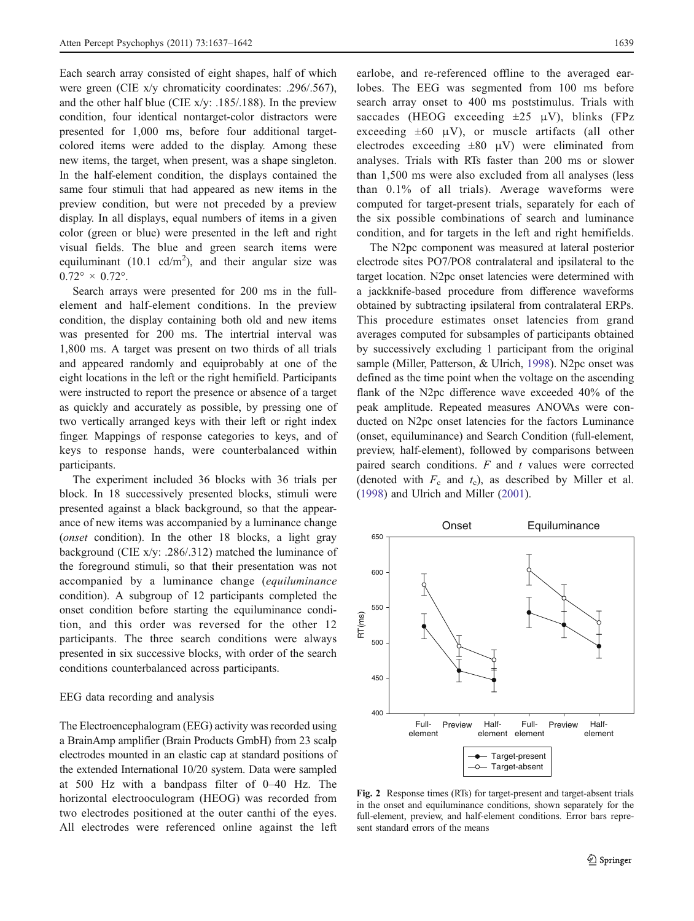<span id="page-2-0"></span>Each search array consisted of eight shapes, half of which were green (CIE x/y chromaticity coordinates: .296/.567), and the other half blue (CIE  $x/y$ : .185/.188). In the preview condition, four identical nontarget-color distractors were presented for 1,000 ms, before four additional targetcolored items were added to the display. Among these new items, the target, when present, was a shape singleton. In the half-element condition, the displays contained the same four stimuli that had appeared as new items in the preview condition, but were not preceded by a preview display. In all displays, equal numbers of items in a given color (green or blue) were presented in the left and right visual fields. The blue and green search items were equiluminant (10.1 cd/m<sup>2</sup>), and their angular size was  $0.72^{\circ} \times 0.72^{\circ}$ .

Search arrays were presented for 200 ms in the fullelement and half-element conditions. In the preview condition, the display containing both old and new items was presented for 200 ms. The intertrial interval was 1,800 ms. A target was present on two thirds of all trials and appeared randomly and equiprobably at one of the eight locations in the left or the right hemifield. Participants were instructed to report the presence or absence of a target as quickly and accurately as possible, by pressing one of two vertically arranged keys with their left or right index finger. Mappings of response categories to keys, and of keys to response hands, were counterbalanced within participants.

The experiment included 36 blocks with 36 trials per block. In 18 successively presented blocks, stimuli were presented against a black background, so that the appearance of new items was accompanied by a luminance change (onset condition). In the other 18 blocks, a light gray background (CIE x/y: .286/.312) matched the luminance of the foreground stimuli, so that their presentation was not accompanied by a luminance change (equiluminance condition). A subgroup of 12 participants completed the onset condition before starting the equiluminance condition, and this order was reversed for the other 12 participants. The three search conditions were always presented in six successive blocks, with order of the search conditions counterbalanced across participants.

# EEG data recording and analysis

The Electroencephalogram (EEG) activity was recorded using a BrainAmp amplifier (Brain Products GmbH) from 23 scalp electrodes mounted in an elastic cap at standard positions of the extended International 10/20 system. Data were sampled at 500 Hz with a bandpass filter of 0–40 Hz. The horizontal electrooculogram (HEOG) was recorded from two electrodes positioned at the outer canthi of the eyes. All electrodes were referenced online against the left

earlobe, and re-referenced offline to the averaged earlobes. The EEG was segmented from 100 ms before search array onset to 400 ms poststimulus. Trials with saccades (HEOG exceeding  $\pm 25 \mu V$ ), blinks (FPz exceeding  $\pm 60$   $\mu$ V), or muscle artifacts (all other electrodes exceeding  $\pm 80$   $\mu$ V) were eliminated from analyses. Trials with RTs faster than 200 ms or slower than 1,500 ms were also excluded from all analyses (less than 0.1% of all trials). Average waveforms were computed for target-present trials, separately for each of the six possible combinations of search and luminance condition, and for targets in the left and right hemifields.

The N2pc component was measured at lateral posterior electrode sites PO7/PO8 contralateral and ipsilateral to the target location. N2pc onset latencies were determined with a jackknife-based procedure from difference waveforms obtained by subtracting ipsilateral from contralateral ERPs. This procedure estimates onset latencies from grand averages computed for subsamples of participants obtained by successively excluding 1 participant from the original sample (Miller, Patterson, & Ulrich, [1998](#page-5-0)). N2pc onset was defined as the time point when the voltage on the ascending flank of the N2pc difference wave exceeded 40% of the peak amplitude. Repeated measures ANOVAs were conducted on N2pc onset latencies for the factors Luminance (onset, equiluminance) and Search Condition (full-element, preview, half-element), followed by comparisons between paired search conditions.  $F$  and  $t$  values were corrected (denoted with  $F_c$  and  $t_c$ ), as described by Miller et al. [\(1998](#page-5-0)) and Ulrich and Miller ([2001\)](#page-5-0).



Fig. 2 Response times (RTs) for target-present and target-absent trials in the onset and equiluminance conditions, shown separately for the full-element, preview, and half-element conditions. Error bars represent standard errors of the means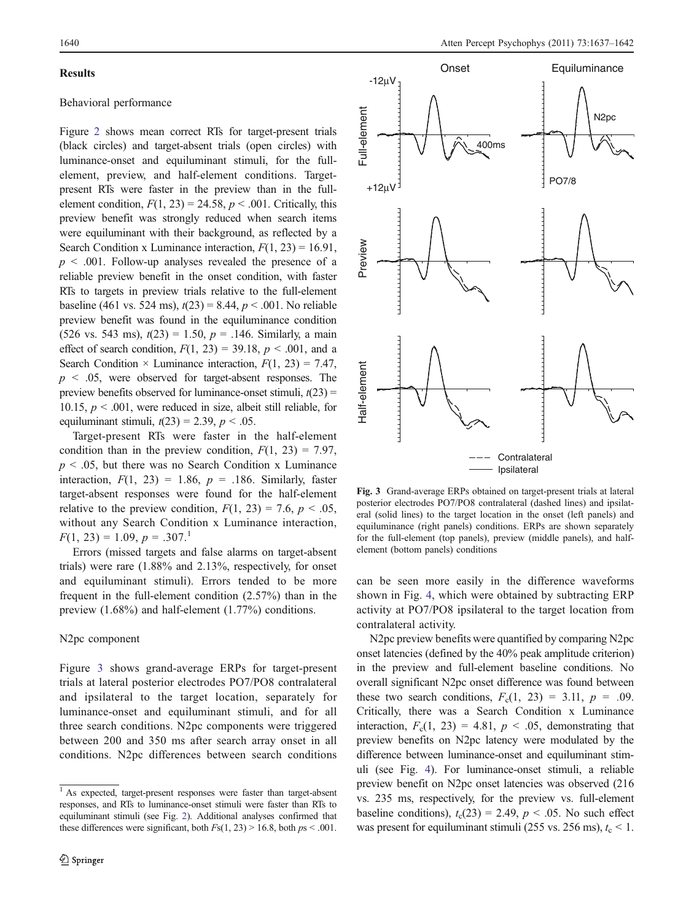#### **Results**

# Behavioral performance

Figure [2](#page-2-0) shows mean correct RTs for target-present trials (black circles) and target-absent trials (open circles) with luminance-onset and equiluminant stimuli, for the fullelement, preview, and half-element conditions. Targetpresent RTs were faster in the preview than in the fullelement condition,  $F(1, 23) = 24.58$ ,  $p < .001$ . Critically, this preview benefit was strongly reduced when search items were equiluminant with their background, as reflected by a Search Condition x Luminance interaction,  $F(1, 23) = 16.91$ ,  $p \leq 0.001$ . Follow-up analyses revealed the presence of a reliable preview benefit in the onset condition, with faster RTs to targets in preview trials relative to the full-element baseline (461 vs. 524 ms),  $t(23) = 8.44$ ,  $p < .001$ . No reliable preview benefit was found in the equiluminance condition  $(526 \text{ vs. } 543 \text{ ms}), t(23) = 1.50, p = .146$ . Similarly, a main effect of search condition,  $F(1, 23) = 39.18$ ,  $p < .001$ , and a Search Condition  $\times$  Luminance interaction,  $F(1, 23) = 7.47$ ,  $p \leq 0.05$ , were observed for target-absent responses. The preview benefits observed for luminance-onset stimuli,  $t(23)$  = 10.15,  $p < .001$ , were reduced in size, albeit still reliable, for equiluminant stimuli,  $t(23) = 2.39$ ,  $p < .05$ .

Target-present RTs were faster in the half-element condition than in the preview condition,  $F(1, 23) = 7.97$ ,  $p \leq 0.05$ , but there was no Search Condition x Luminance interaction,  $F(1, 23) = 1.86$ ,  $p = .186$ . Similarly, faster target-absent responses were found for the half-element relative to the preview condition,  $F(1, 23) = 7.6$ ,  $p < .05$ , without any Search Condition x Luminance interaction,  $F(1, 23) = 1.09, p = .307$ <sup>1</sup>

Errors (missed targets and false alarms on target-absent trials) were rare (1.88% and 2.13%, respectively, for onset and equiluminant stimuli). Errors tended to be more frequent in the full-element condition (2.57%) than in the preview (1.68%) and half-element (1.77%) conditions.

### N2pc component

Figure 3 shows grand-average ERPs for target-present trials at lateral posterior electrodes PO7/PO8 contralateral and ipsilateral to the target location, separately for luminance-onset and equiluminant stimuli, and for all three search conditions. N2pc components were triggered between 200 and 350 ms after search array onset in all conditions. N2pc differences between search conditions



Fig. 3 Grand-average ERPs obtained on target-present trials at lateral posterior electrodes PO7/PO8 contralateral (dashed lines) and ipsilateral (solid lines) to the target location in the onset (left panels) and equiluminance (right panels) conditions. ERPs are shown separately for the full-element (top panels), preview (middle panels), and halfelement (bottom panels) conditions

can be seen more easily in the difference waveforms shown in Fig. [4,](#page-4-0) which were obtained by subtracting ERP activity at PO7/PO8 ipsilateral to the target location from contralateral activity.

N2pc preview benefits were quantified by comparing N2pc onset latencies (defined by the 40% peak amplitude criterion) in the preview and full-element baseline conditions. No overall significant N2pc onset difference was found between these two search conditions,  $F_c(1, 23) = 3.11$ ,  $p = .09$ . Critically, there was a Search Condition x Luminance interaction,  $F_c(1, 23) = 4.81$ ,  $p < .05$ , demonstrating that preview benefits on N2pc latency were modulated by the difference between luminance-onset and equiluminant stimuli (see Fig. [4\)](#page-4-0). For luminance-onset stimuli, a reliable preview benefit on N2pc onset latencies was observed (216 vs. 235 ms, respectively, for the preview vs. full-element baseline conditions),  $t_c(23) = 2.49$ ,  $p < .05$ . No such effect was present for equiluminant stimuli (255 vs. 256 ms),  $t_c$  < 1.

<sup>1</sup> As expected, target-present responses were faster than target-absent responses, and RTs to luminance-onset stimuli were faster than RTs to equiluminant stimuli (see Fig. [2](#page-2-0)). Additional analyses confirmed that these differences were significant, both  $Fs(1, 23) > 16.8$ , both  $ps < .001$ .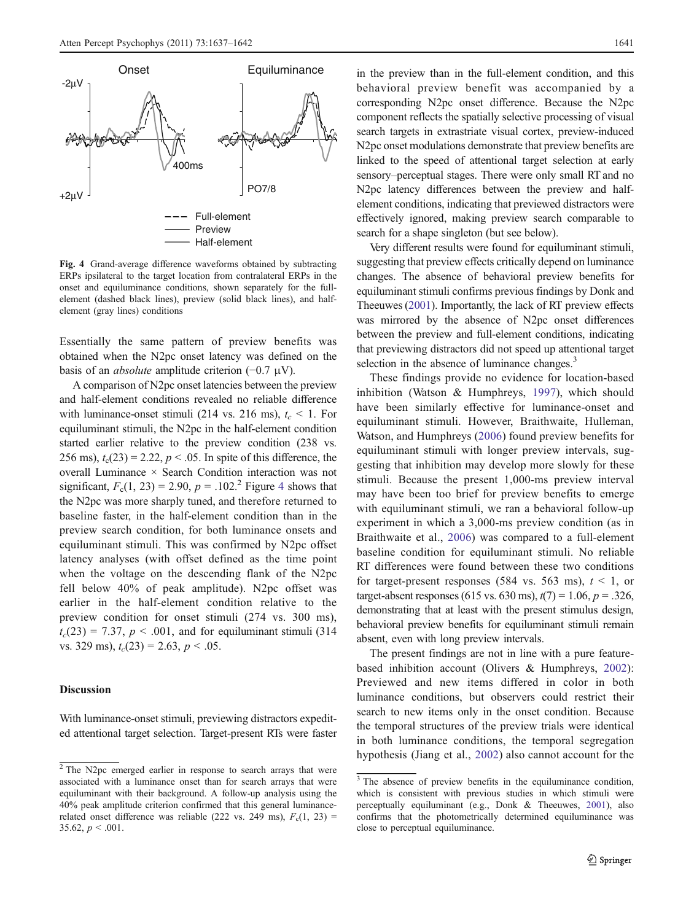<span id="page-4-0"></span>

Fig. 4 Grand-average difference waveforms obtained by subtracting ERPs ipsilateral to the target location from contralateral ERPs in the onset and equiluminance conditions, shown separately for the fullelement (dashed black lines), preview (solid black lines), and halfelement (gray lines) conditions

Essentially the same pattern of preview benefits was obtained when the N2pc onset latency was defined on the basis of an *absolute* amplitude criterion  $(-0.7 \mu V)$ .

A comparison of N2pc onset latencies between the preview and half-element conditions revealed no reliable difference with luminance-onset stimuli (214 vs. 216 ms),  $t_c < 1$ . For equiluminant stimuli, the N2pc in the half-element condition started earlier relative to the preview condition (238 vs. 256 ms),  $t_c(23) = 2.22$ ,  $p < .05$ . In spite of this difference, the overall Luminance × Search Condition interaction was not significant,  $F_c(1, 23) = 2.90$ ,  $p = .102$ <sup>2</sup> Figure 4 shows that the N2pc was more sharply tuned, and therefore returned to baseline faster, in the half-element condition than in the preview search condition, for both luminance onsets and equiluminant stimuli. This was confirmed by N2pc offset latency analyses (with offset defined as the time point when the voltage on the descending flank of the N2pc fell below 40% of peak amplitude). N2pc offset was earlier in the half-element condition relative to the preview condition for onset stimuli (274 vs. 300 ms),  $t_c(23) = 7.37, p < .001$ , and for equiluminant stimuli (314) vs. 329 ms),  $t_c(23) = 2.63$ ,  $p < .05$ .

#### **Discussion**

With luminance-onset stimuli, previewing distractors expedited attentional target selection. Target-present RTs were faster

in the preview than in the full-element condition, and this behavioral preview benefit was accompanied by a corresponding N2pc onset difference. Because the N2pc component reflects the spatially selective processing of visual search targets in extrastriate visual cortex, preview-induced N2pc onset modulations demonstrate that preview benefits are linked to the speed of attentional target selection at early sensory–perceptual stages. There were only small RT and no N<sub>2</sub>pc latency differences between the preview and halfelement conditions, indicating that previewed distractors were effectively ignored, making preview search comparable to search for a shape singleton (but see below).

Very different results were found for equiluminant stimuli, suggesting that preview effects critically depend on luminance changes. The absence of behavioral preview benefits for equiluminant stimuli confirms previous findings by Donk and Theeuwes ([2001](#page-5-0)). Importantly, the lack of RT preview effects was mirrored by the absence of N2pc onset differences between the preview and full-element conditions, indicating that previewing distractors did not speed up attentional target selection in the absence of luminance changes.<sup>3</sup>

These findings provide no evidence for location-based inhibition (Watson & Humphreys, [1997](#page-5-0)), which should have been similarly effective for luminance-onset and equiluminant stimuli. However, Braithwaite, Hulleman, Watson, and Humphreys ([2006](#page-5-0)) found preview benefits for equiluminant stimuli with longer preview intervals, suggesting that inhibition may develop more slowly for these stimuli. Because the present 1,000-ms preview interval may have been too brief for preview benefits to emerge with equiluminant stimuli, we ran a behavioral follow-up experiment in which a 3,000-ms preview condition (as in Braithwaite et al., [2006\)](#page-5-0) was compared to a full-element baseline condition for equiluminant stimuli. No reliable RT differences were found between these two conditions for target-present responses (584 vs. 563 ms),  $t < 1$ , or target-absent responses (615 vs. 630 ms),  $t(7) = 1.06$ ,  $p = .326$ , demonstrating that at least with the present stimulus design, behavioral preview benefits for equiluminant stimuli remain absent, even with long preview intervals.

The present findings are not in line with a pure featurebased inhibition account (Olivers & Humphreys, [2002](#page-5-0)): Previewed and new items differed in color in both luminance conditions, but observers could restrict their search to new items only in the onset condition. Because the temporal structures of the preview trials were identical in both luminance conditions, the temporal segregation hypothesis (Jiang et al., [2002](#page-5-0)) also cannot account for the

 $2$ The N2pc emerged earlier in response to search arrays that were associated with a luminance onset than for search arrays that were equiluminant with their background. A follow-up analysis using the 40% peak amplitude criterion confirmed that this general luminancerelated onset difference was reliable (222 vs. 249 ms),  $F_c(1, 23)$  = 35.62,  $p < .001$ .

<sup>&</sup>lt;sup>3</sup>The absence of preview benefits in the equiluminance condition, which is consistent with previous studies in which stimuli were perceptually equiluminant (e.g., Donk & Theeuwes, [2001](#page-5-0)), also confirms that the photometrically determined equiluminance was close to perceptual equiluminance.